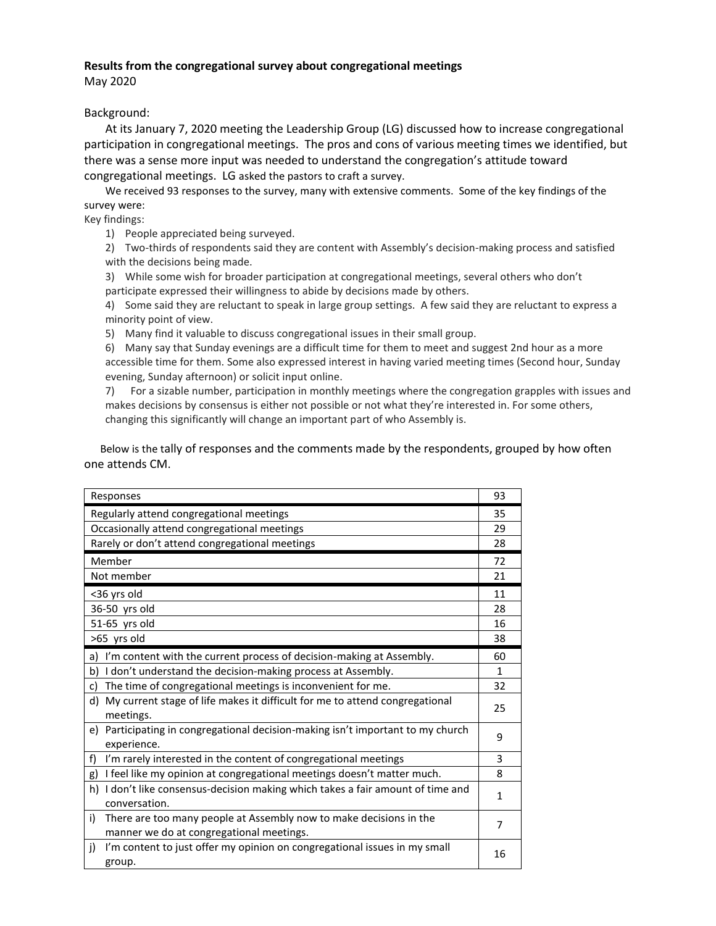## **Results from the congregational survey about congregational meetings**

May 2020

### Background:

At its January 7, 2020 meeting the Leadership Group (LG) discussed how to increase congregational participation in congregational meetings. The pros and cons of various meeting times we identified, but there was a sense more input was needed to understand the congregation's attitude toward congregational meetings. LG asked the pastors to craft a survey.

We received 93 responses to the survey, many with extensive comments. Some of the key findings of the survey were:

Key findings:

1) People appreciated being surveyed.

2) Two-thirds of respondents said they are content with Assembly's decision-making process and satisfied with the decisions being made.

3) While some wish for broader participation at congregational meetings, several others who don't participate expressed their willingness to abide by decisions made by others.

4) Some said they are reluctant to speak in large group settings. A few said they are reluctant to express a minority point of view.

5) Many find it valuable to discuss congregational issues in their small group.

6) Many say that Sunday evenings are a difficult time for them to meet and suggest 2nd hour as a more accessible time for them. Some also expressed interest in having varied meeting times (Second hour, Sunday evening, Sunday afternoon) or solicit input online.

7) For a sizable number, participation in monthly meetings where the congregation grapples with issues and makes decisions by consensus is either not possible or not what they're interested in. For some others, changing this significantly will change an important part of who Assembly is.

 Below is the tally of responses and the comments made by the respondents, grouped by how often one attends CM.

| Responses                                                                                                            | 93           |  |
|----------------------------------------------------------------------------------------------------------------------|--------------|--|
| Regularly attend congregational meetings                                                                             |              |  |
| Occasionally attend congregational meetings                                                                          |              |  |
| Rarely or don't attend congregational meetings                                                                       |              |  |
| Member                                                                                                               |              |  |
| Not member                                                                                                           |              |  |
| <36 yrs old                                                                                                          |              |  |
| 36-50 yrs old                                                                                                        |              |  |
| 51-65 yrs old                                                                                                        |              |  |
| >65 yrs old                                                                                                          |              |  |
| a) I'm content with the current process of decision-making at Assembly.                                              | 60           |  |
| b) I don't understand the decision-making process at Assembly.                                                       |              |  |
| The time of congregational meetings is inconvenient for me.<br>c)                                                    | 32           |  |
| d) My current stage of life makes it difficult for me to attend congregational<br>meetings.                          | 25           |  |
| e) Participating in congregational decision-making isn't important to my church<br>experience.                       | 9            |  |
| f)<br>I'm rarely interested in the content of congregational meetings                                                | 3            |  |
| I feel like my opinion at congregational meetings doesn't matter much.<br>g)                                         | 8            |  |
| I don't like consensus-decision making which takes a fair amount of time and<br>h)<br>conversation.                  | $\mathbf{1}$ |  |
| i)<br>There are too many people at Assembly now to make decisions in the<br>manner we do at congregational meetings. | 7            |  |
| I'm content to just offer my opinion on congregational issues in my small<br>j)<br>group.                            | 16           |  |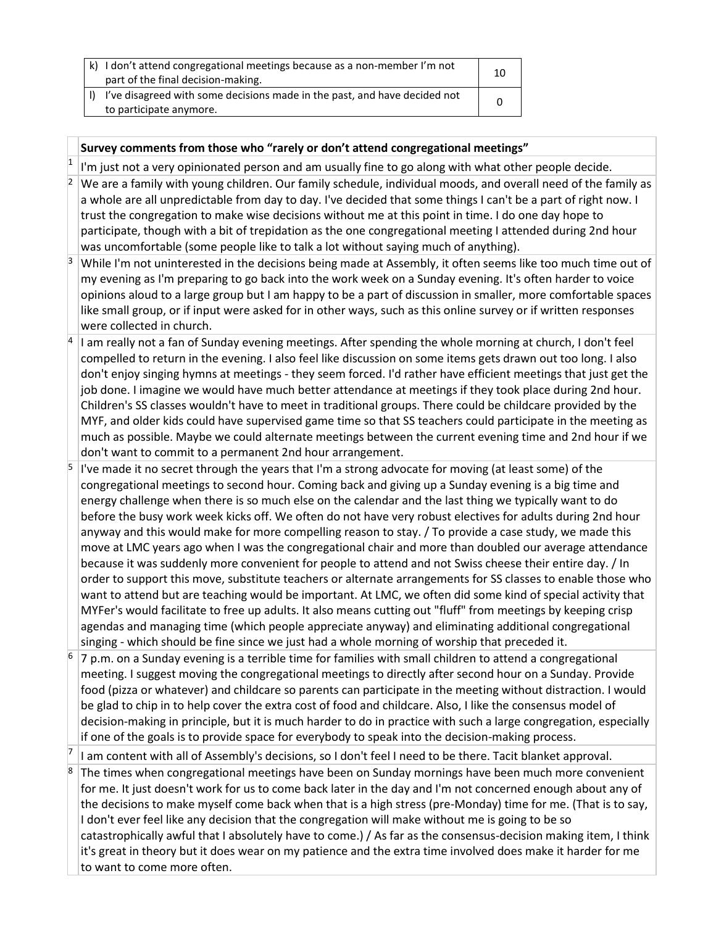| k) I don't attend congregational meetings because as a non-member I'm not<br>part of the final decision-making. | 10 |
|-----------------------------------------------------------------------------------------------------------------|----|
| I've disagreed with some decisions made in the past, and have decided not                                       |    |
| to participate anymore.                                                                                         |    |

## **Survey comments from those who "rarely or don't attend congregational meetings"**

1 I'm just not a very opinionated person and am usually fine to go along with what other people decide.

- $2 \text{ }$  We are a family with young children. Our family schedule, individual moods, and overall need of the family as a whole are all unpredictable from day to day. I've decided that some things I can't be a part of right now. I trust the congregation to make wise decisions without me at this point in time. I do one day hope to participate, though with a bit of trepidation as the one congregational meeting I attended during 2nd hour was uncomfortable (some people like to talk a lot without saying much of anything).
- $3 \mid$  While I'm not uninterested in the decisions being made at Assembly, it often seems like too much time out of my evening as I'm preparing to go back into the work week on a Sunday evening. It's often harder to voice opinions aloud to a large group but I am happy to be a part of discussion in smaller, more comfortable spaces like small group, or if input were asked for in other ways, such as this online survey or if written responses were collected in church.
- <sup>4</sup> I am really not a fan of Sunday evening meetings. After spending the whole morning at church, I don't feel compelled to return in the evening. I also feel like discussion on some items gets drawn out too long. I also don't enjoy singing hymns at meetings - they seem forced. I'd rather have efficient meetings that just get the job done. I imagine we would have much better attendance at meetings if they took place during 2nd hour. Children's SS classes wouldn't have to meet in traditional groups. There could be childcare provided by the MYF, and older kids could have supervised game time so that SS teachers could participate in the meeting as much as possible. Maybe we could alternate meetings between the current evening time and 2nd hour if we don't want to commit to a permanent 2nd hour arrangement.
- I've made it no secret through the years that I'm a strong advocate for moving (at least some) of the congregational meetings to second hour. Coming back and giving up a Sunday evening is a big time and energy challenge when there is so much else on the calendar and the last thing we typically want to do before the busy work week kicks off. We often do not have very robust electives for adults during 2nd hour anyway and this would make for more compelling reason to stay. / To provide a case study, we made this move at LMC years ago when I was the congregational chair and more than doubled our average attendance because it was suddenly more convenient for people to attend and not Swiss cheese their entire day. / In order to support this move, substitute teachers or alternate arrangements for SS classes to enable those who want to attend but are teaching would be important. At LMC, we often did some kind of special activity that MYFer's would facilitate to free up adults. It also means cutting out "fluff" from meetings by keeping crisp agendas and managing time (which people appreciate anyway) and eliminating additional congregational singing - which should be fine since we just had a whole morning of worship that preceded it.
- <sup>6</sup> 7 p.m. on a Sunday evening is a terrible time for families with small children to attend a congregational meeting. I suggest moving the congregational meetings to directly after second hour on a Sunday. Provide food (pizza or whatever) and childcare so parents can participate in the meeting without distraction. I would be glad to chip in to help cover the extra cost of food and childcare. Also, I like the consensus model of decision-making in principle, but it is much harder to do in practice with such a large congregation, especially if one of the goals is to provide space for everybody to speak into the decision-making process.

7 I am content with all of Assembly's decisions, so I don't feel I need to be there. Tacit blanket approval.

The times when congregational meetings have been on Sunday mornings have been much more convenient for me. It just doesn't work for us to come back later in the day and I'm not concerned enough about any of the decisions to make myself come back when that is a high stress (pre-Monday) time for me. (That is to say, I don't ever feel like any decision that the congregation will make without me is going to be so catastrophically awful that I absolutely have to come.) / As far as the consensus-decision making item, I think it's great in theory but it does wear on my patience and the extra time involved does make it harder for me to want to come more often.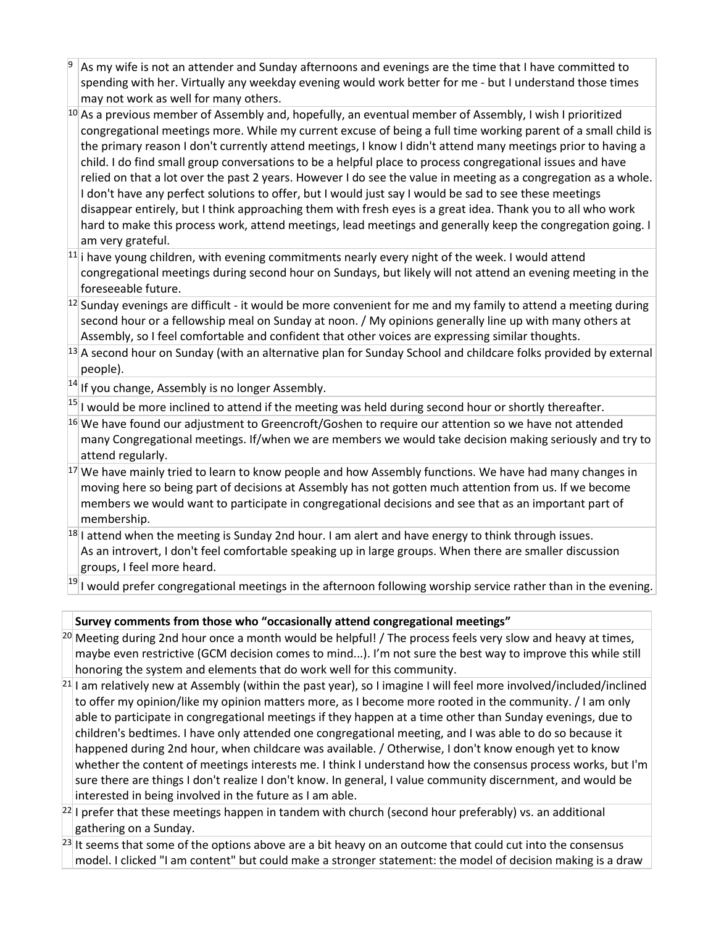As my wife is not an attender and Sunday afternoons and evenings are the time that I have committed to spending with her. Virtually any weekday evening would work better for me - but I understand those times may not work as well for many others.

 $10$  As a previous member of Assembly and, hopefully, an eventual member of Assembly, I wish I prioritized congregational meetings more. While my current excuse of being a full time working parent of a small child is the primary reason I don't currently attend meetings, I know I didn't attend many meetings prior to having a child. I do find small group conversations to be a helpful place to process congregational issues and have relied on that a lot over the past 2 years. However I do see the value in meeting as a congregation as a whole. I don't have any perfect solutions to offer, but I would just say I would be sad to see these meetings disappear entirely, but I think approaching them with fresh eyes is a great idea. Thank you to all who work hard to make this process work, attend meetings, lead meetings and generally keep the congregation going. I am very grateful.

- $11$  i have young children, with evening commitments nearly every night of the week. I would attend congregational meetings during second hour on Sundays, but likely will not attend an evening meeting in the foreseeable future.
- $12$  Sunday evenings are difficult it would be more convenient for me and my family to attend a meeting during second hour or a fellowship meal on Sunday at noon. / My opinions generally line up with many others at Assembly, so I feel comfortable and confident that other voices are expressing similar thoughts.
- $^{13}$  A second hour on Sunday (with an alternative plan for Sunday School and childcare folks provided by external people).
- $14$  If you change, Assembly is no longer Assembly.

 $|15|$  I would be more inclined to attend if the meeting was held during second hour or shortly thereafter.

- $16$  We have found our adjustment to Greencroft/Goshen to require our attention so we have not attended many Congregational meetings. If/when we are members we would take decision making seriously and try to attend regularly.
- $17$  We have mainly tried to learn to know people and how Assembly functions. We have had many changes in moving here so being part of decisions at Assembly has not gotten much attention from us. If we become members we would want to participate in congregational decisions and see that as an important part of membership.
- $^{18}$ I attend when the meeting is Sunday 2nd hour. I am alert and have energy to think through issues. As an introvert, I don't feel comfortable speaking up in large groups. When there are smaller discussion groups, I feel more heard.

 $19$  I would prefer congregational meetings in the afternoon following worship service rather than in the evening.

# **Survey comments from those who "occasionally attend congregational meetings"**

 $^{20}$  Meeting during 2nd hour once a month would be helpful! / The process feels very slow and heavy at times, maybe even restrictive (GCM decision comes to mind...). I'm not sure the best way to improve this while still honoring the system and elements that do work well for this community.

 $^{21}$ I am relatively new at Assembly (within the past year), so I imagine I will feel more involved/included/inclined to offer my opinion/like my opinion matters more, as I become more rooted in the community. / I am only able to participate in congregational meetings if they happen at a time other than Sunday evenings, due to children's bedtimes. I have only attended one congregational meeting, and I was able to do so because it happened during 2nd hour, when childcare was available. / Otherwise, I don't know enough yet to know whether the content of meetings interests me. I think I understand how the consensus process works, but I'm sure there are things I don't realize I don't know. In general, I value community discernment, and would be interested in being involved in the future as I am able.

 $^{22}$ I prefer that these meetings happen in tandem with church (second hour preferably) vs. an additional gathering on a Sunday.

 $^{23}$  It seems that some of the options above are a bit heavy on an outcome that could cut into the consensus model. I clicked "I am content" but could make a stronger statement: the model of decision making is a draw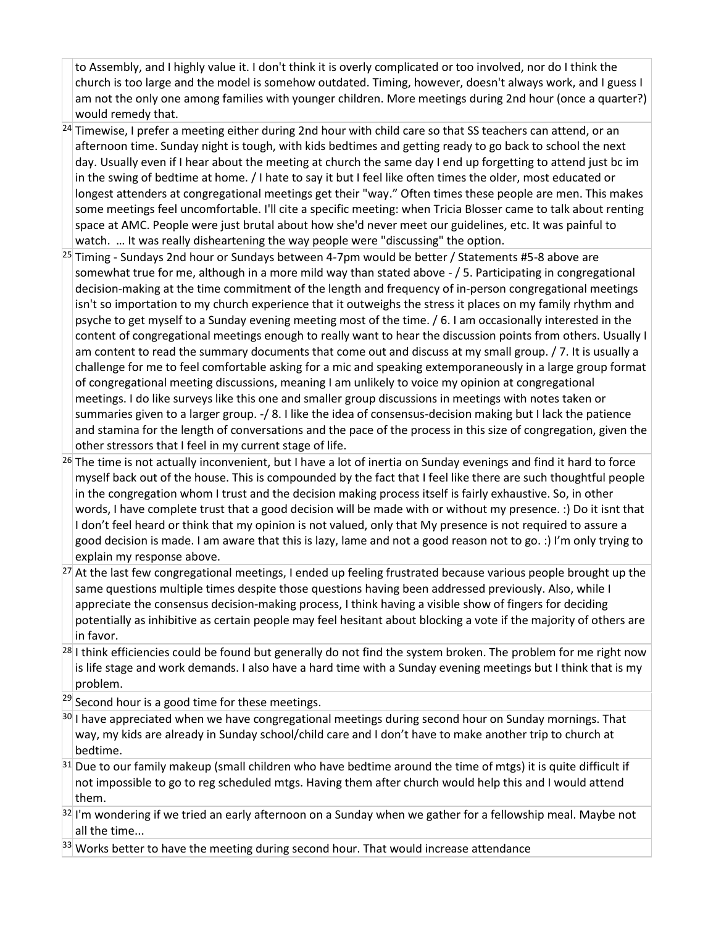to Assembly, and I highly value it. I don't think it is overly complicated or too involved, nor do I think the church is too large and the model is somehow outdated. Timing, however, doesn't always work, and I guess I am not the only one among families with younger children. More meetings during 2nd hour (once a quarter?) would remedy that.

- $^{24}$  Timewise, I prefer a meeting either during 2nd hour with child care so that SS teachers can attend, or an afternoon time. Sunday night is tough, with kids bedtimes and getting ready to go back to school the next day. Usually even if I hear about the meeting at church the same day I end up forgetting to attend just bc im in the swing of bedtime at home. / I hate to say it but I feel like often times the older, most educated or longest attenders at congregational meetings get their "way." Often times these people are men. This makes some meetings feel uncomfortable. I'll cite a specific meeting: when Tricia Blosser came to talk about renting space at AMC. People were just brutal about how she'd never meet our guidelines, etc. It was painful to watch. … It was really disheartening the way people were "discussing" the option.
- $25$  Timing Sundays 2nd hour or Sundays between 4-7pm would be better / Statements #5-8 above are somewhat true for me, although in a more mild way than stated above - / 5. Participating in congregational decision-making at the time commitment of the length and frequency of in-person congregational meetings isn't so importation to my church experience that it outweighs the stress it places on my family rhythm and psyche to get myself to a Sunday evening meeting most of the time. / 6. I am occasionally interested in the content of congregational meetings enough to really want to hear the discussion points from others. Usually I am content to read the summary documents that come out and discuss at my small group. / 7. It is usually a challenge for me to feel comfortable asking for a mic and speaking extemporaneously in a large group format of congregational meeting discussions, meaning I am unlikely to voice my opinion at congregational meetings. I do like surveys like this one and smaller group discussions in meetings with notes taken or summaries given to a larger group. -/ 8. I like the idea of consensus-decision making but I lack the patience and stamina for the length of conversations and the pace of the process in this size of congregation, given the other stressors that I feel in my current stage of life.
- $^{26}$  The time is not actually inconvenient, but I have a lot of inertia on Sunday evenings and find it hard to force myself back out of the house. This is compounded by the fact that I feel like there are such thoughtful people in the congregation whom I trust and the decision making process itself is fairly exhaustive. So, in other words, I have complete trust that a good decision will be made with or without my presence. :) Do it isnt that I don't feel heard or think that my opinion is not valued, only that My presence is not required to assure a good decision is made. I am aware that this is lazy, lame and not a good reason not to go. :) I'm only trying to explain my response above.
- $27$  At the last few congregational meetings, I ended up feeling frustrated because various people brought up the same questions multiple times despite those questions having been addressed previously. Also, while I appreciate the consensus decision-making process, I think having a visible show of fingers for deciding potentially as inhibitive as certain people may feel hesitant about blocking a vote if the majority of others are in favor.
- $^{28}$ I think efficiencies could be found but generally do not find the system broken. The problem for me right now is life stage and work demands. I also have a hard time with a Sunday evening meetings but I think that is my problem.
- $^{29}$  Second hour is a good time for these meetings.
- $30$  I have appreciated when we have congregational meetings during second hour on Sunday mornings. That way, my kids are already in Sunday school/child care and I don't have to make another trip to church at bedtime.
- $31$  Due to our family makeup (small children who have bedtime around the time of mtgs) it is quite difficult if not impossible to go to reg scheduled mtgs. Having them after church would help this and I would attend them.

 $32$  I'm wondering if we tried an early afternoon on a Sunday when we gather for a fellowship meal. Maybe not all the time...

 $\frac{33}{12}$  Works better to have the meeting during second hour. That would increase attendance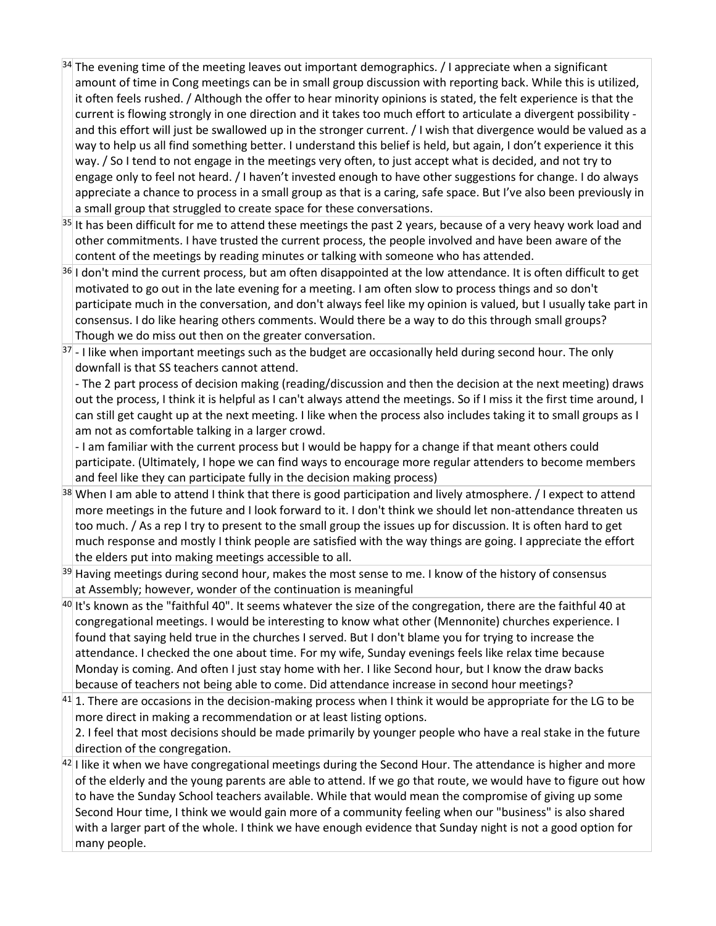- $34$  The evening time of the meeting leaves out important demographics. / I appreciate when a significant amount of time in Cong meetings can be in small group discussion with reporting back. While this is utilized, it often feels rushed. / Although the offer to hear minority opinions is stated, the felt experience is that the current is flowing strongly in one direction and it takes too much effort to articulate a divergent possibility and this effort will just be swallowed up in the stronger current. / I wish that divergence would be valued as a way to help us all find something better. I understand this belief is held, but again, I don't experience it this way. / So I tend to not engage in the meetings very often, to just accept what is decided, and not try to engage only to feel not heard. / I haven't invested enough to have other suggestions for change. I do always appreciate a chance to process in a small group as that is a caring, safe space. But I've also been previously in a small group that struggled to create space for these conversations.
- <sup>35</sup> It has been difficult for me to attend these meetings the past 2 years, because of a very heavy work load and other commitments. I have trusted the current process, the people involved and have been aware of the content of the meetings by reading minutes or talking with someone who has attended.
- $36$  I don't mind the current process, but am often disappointed at the low attendance. It is often difficult to get motivated to go out in the late evening for a meeting. I am often slow to process things and so don't participate much in the conversation, and don't always feel like my opinion is valued, but I usually take part in consensus. I do like hearing others comments. Would there be a way to do this through small groups? Though we do miss out then on the greater conversation.
- $37$  I like when important meetings such as the budget are occasionally held during second hour. The only downfall is that SS teachers cannot attend.

- The 2 part process of decision making (reading/discussion and then the decision at the next meeting) draws out the process, I think it is helpful as I can't always attend the meetings. So if I miss it the first time around, I can still get caught up at the next meeting. I like when the process also includes taking it to small groups as I am not as comfortable talking in a larger crowd.

- I am familiar with the current process but I would be happy for a change if that meant others could participate. (Ultimately, I hope we can find ways to encourage more regular attenders to become members and feel like they can participate fully in the decision making process)

- $38$  When I am able to attend I think that there is good participation and lively atmosphere. / I expect to attend more meetings in the future and I look forward to it. I don't think we should let non-attendance threaten us too much. / As a rep I try to present to the small group the issues up for discussion. It is often hard to get much response and mostly I think people are satisfied with the way things are going. I appreciate the effort the elders put into making meetings accessible to all.
- $39$  Having meetings during second hour, makes the most sense to me. I know of the history of consensus at Assembly; however, wonder of the continuation is meaningful
- $^{40}$  It's known as the "faithful 40". It seems whatever the size of the congregation, there are the faithful 40 at congregational meetings. I would be interesting to know what other (Mennonite) churches experience. I found that saying held true in the churches I served. But I don't blame you for trying to increase the attendance. I checked the one about time. For my wife, Sunday evenings feels like relax time because Monday is coming. And often I just stay home with her. I like Second hour, but I know the draw backs because of teachers not being able to come. Did attendance increase in second hour meetings?
- $41$  1. There are occasions in the decision-making process when I think it would be appropriate for the LG to be more direct in making a recommendation or at least listing options.
- 2. I feel that most decisions should be made primarily by younger people who have a real stake in the future direction of the congregation.
- $42$  I like it when we have congregational meetings during the Second Hour. The attendance is higher and more of the elderly and the young parents are able to attend. If we go that route, we would have to figure out how to have the Sunday School teachers available. While that would mean the compromise of giving up some Second Hour time, I think we would gain more of a community feeling when our "business" is also shared with a larger part of the whole. I think we have enough evidence that Sunday night is not a good option for many people.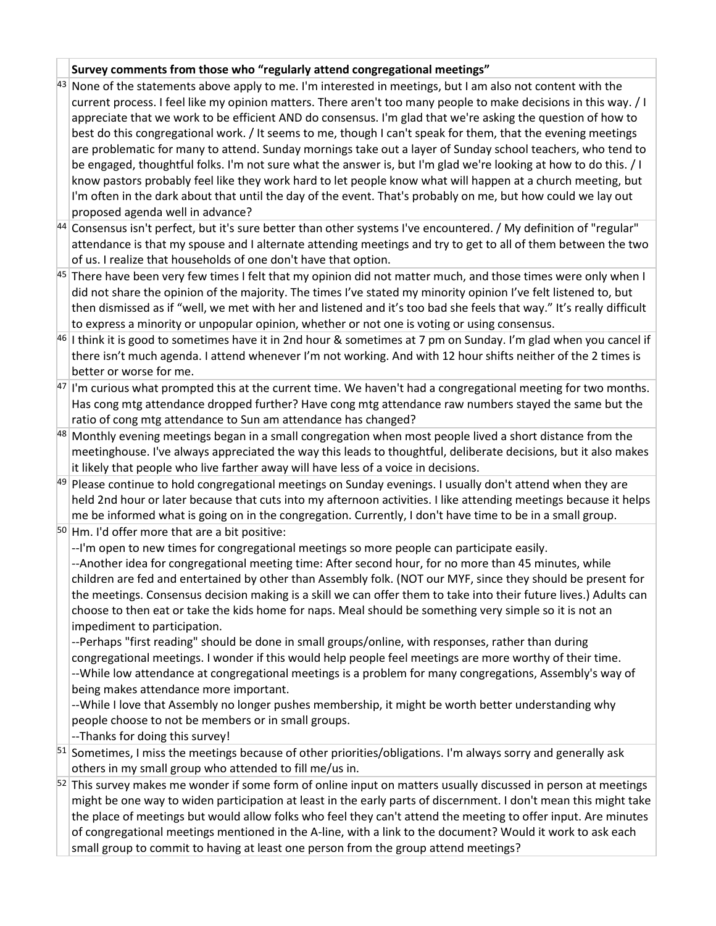# **Survey comments from those who "regularly attend congregational meetings"**

- $43$  None of the statements above apply to me. I'm interested in meetings, but I am also not content with the current process. I feel like my opinion matters. There aren't too many people to make decisions in this way. / I appreciate that we work to be efficient AND do consensus. I'm glad that we're asking the question of how to best do this congregational work. / It seems to me, though I can't speak for them, that the evening meetings are problematic for many to attend. Sunday mornings take out a layer of Sunday school teachers, who tend to be engaged, thoughtful folks. I'm not sure what the answer is, but I'm glad we're looking at how to do this. / I know pastors probably feel like they work hard to let people know what will happen at a church meeting, but I'm often in the dark about that until the day of the event. That's probably on me, but how could we lay out proposed agenda well in advance?
- $^{44}$  Consensus isn't perfect, but it's sure better than other systems I've encountered. / My definition of "regular" attendance is that my spouse and I alternate attending meetings and try to get to all of them between the two of us. I realize that households of one don't have that option.
- $45$  There have been very few times I felt that my opinion did not matter much, and those times were only when I did not share the opinion of the majority. The times I've stated my minority opinion I've felt listened to, but then dismissed as if "well, we met with her and listened and it's too bad she feels that way." It's really difficult to express a minority or unpopular opinion, whether or not one is voting or using consensus.
- $46$  I think it is good to sometimes have it in 2nd hour & sometimes at 7 pm on Sunday. I'm glad when you cancel if there isn't much agenda. I attend whenever I'm not working. And with 12 hour shifts neither of the 2 times is better or worse for me.
- $47$  I'm curious what prompted this at the current time. We haven't had a congregational meeting for two months. Has cong mtg attendance dropped further? Have cong mtg attendance raw numbers stayed the same but the ratio of cong mtg attendance to Sun am attendance has changed?
- $48$  Monthly evening meetings began in a small congregation when most people lived a short distance from the meetinghouse. I've always appreciated the way this leads to thoughtful, deliberate decisions, but it also makes it likely that people who live farther away will have less of a voice in decisions.
- $49$  Please continue to hold congregational meetings on Sunday evenings. I usually don't attend when they are held 2nd hour or later because that cuts into my afternoon activities. I like attending meetings because it helps me be informed what is going on in the congregation. Currently, I don't have time to be in a small group.
- $50$  Hm. I'd offer more that are a bit positive:
	- --I'm open to new times for congregational meetings so more people can participate easily.

--Another idea for congregational meeting time: After second hour, for no more than 45 minutes, while children are fed and entertained by other than Assembly folk. (NOT our MYF, since they should be present for the meetings. Consensus decision making is a skill we can offer them to take into their future lives.) Adults can choose to then eat or take the kids home for naps. Meal should be something very simple so it is not an impediment to participation.

--Perhaps "first reading" should be done in small groups/online, with responses, rather than during congregational meetings. I wonder if this would help people feel meetings are more worthy of their time. --While low attendance at congregational meetings is a problem for many congregations, Assembly's way of being makes attendance more important.

--While I love that Assembly no longer pushes membership, it might be worth better understanding why people choose to not be members or in small groups.

- --Thanks for doing this survey!
- $51$  Sometimes, I miss the meetings because of other priorities/obligations. I'm always sorry and generally ask others in my small group who attended to fill me/us in.
- $52$  This survey makes me wonder if some form of online input on matters usually discussed in person at meetings might be one way to widen participation at least in the early parts of discernment. I don't mean this might take the place of meetings but would allow folks who feel they can't attend the meeting to offer input. Are minutes of congregational meetings mentioned in the A-line, with a link to the document? Would it work to ask each small group to commit to having at least one person from the group attend meetings?